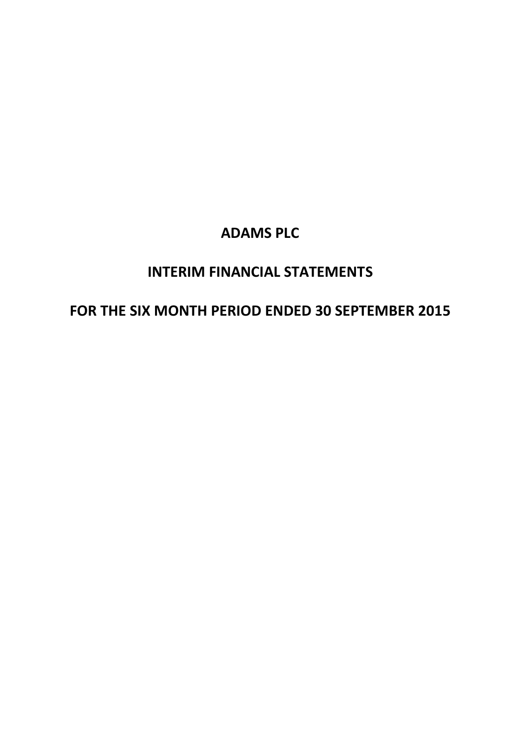## **INTERIM FINANCIAL STATEMENTS**

## **FOR THE SIX MONTH PERIOD ENDED 30 SEPTEMBER 2015**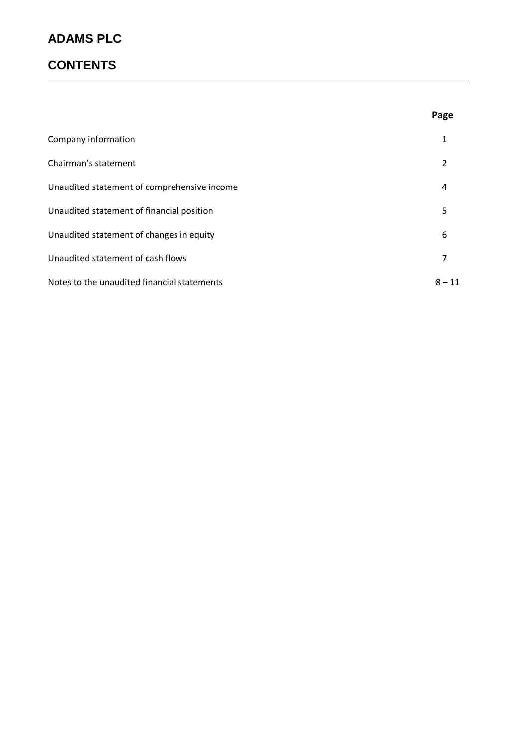## **CONTENTS**

|                                             | Page     |
|---------------------------------------------|----------|
| Company information                         | 1        |
| Chairman's statement                        | 2        |
| Unaudited statement of comprehensive income | 4        |
| Unaudited statement of financial position   | 5        |
| Unaudited statement of changes in equity    | 6        |
| Unaudited statement of cash flows           | 7        |
| Notes to the unaudited financial statements | $8 - 11$ |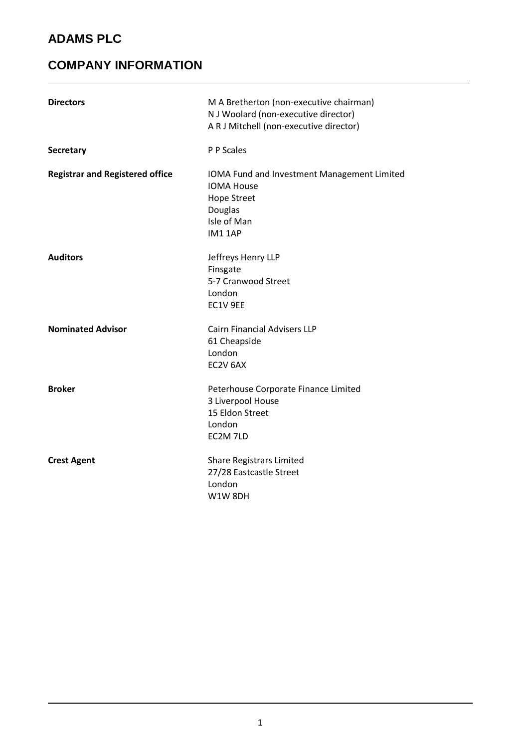## **COMPANY INFORMATION**

| <b>Directors</b>                       | M A Bretherton (non-executive chairman)<br>N J Woolard (non-executive director)<br>A R J Mitchell (non-executive director)        |
|----------------------------------------|-----------------------------------------------------------------------------------------------------------------------------------|
| <b>Secretary</b>                       | P P Scales                                                                                                                        |
| <b>Registrar and Registered office</b> | IOMA Fund and Investment Management Limited<br><b>IOMA House</b><br><b>Hope Street</b><br>Douglas<br>Isle of Man<br><b>IM11AP</b> |
| <b>Auditors</b>                        | Jeffreys Henry LLP<br>Finsgate<br>5-7 Cranwood Street<br>London<br>EC1V 9EE                                                       |
| <b>Nominated Advisor</b>               | <b>Cairn Financial Advisers LLP</b><br>61 Cheapside<br>London<br>EC2V 6AX                                                         |
| <b>Broker</b>                          | Peterhouse Corporate Finance Limited<br>3 Liverpool House<br>15 Eldon Street<br>London<br>EC2M 7LD                                |
| <b>Crest Agent</b>                     | <b>Share Registrars Limited</b><br>27/28 Eastcastle Street<br>London<br><b>W1W8DH</b>                                             |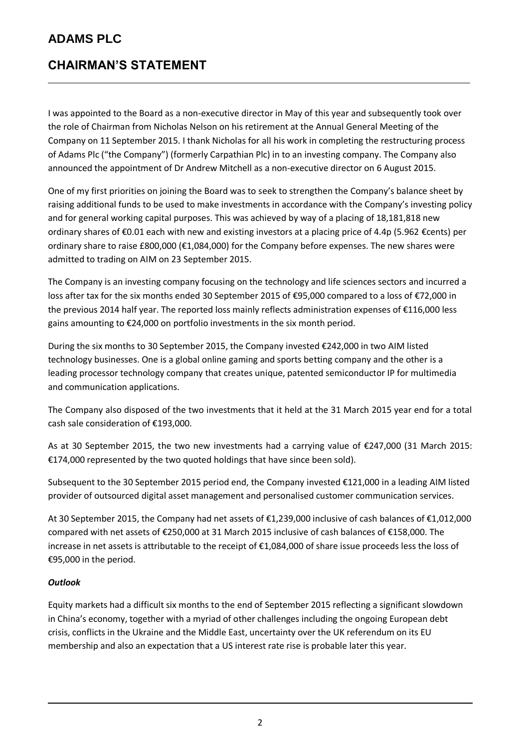#### **CHAIRMAN'S STATEMENT**

I was appointed to the Board as a non-executive director in May of this year and subsequently took over the role of Chairman from Nicholas Nelson on his retirement at the Annual General Meeting of the Company on 11 September 2015. I thank Nicholas for all his work in completing the restructuring process of Adams Plc ("the Company") (formerly Carpathian Plc) in to an investing company. The Company also announced the appointment of Dr Andrew Mitchell as a non-executive director on 6 August 2015.

One of my first priorities on joining the Board was to seek to strengthen the Company's balance sheet by raising additional funds to be used to make investments in accordance with the Company's investing policy and for general working capital purposes. This was achieved by way of a placing of 18,181,818 new ordinary shares of €0.01 each with new and existing investors at a placing price of 4.4p (5.962 €cents) per ordinary share to raise £800,000 (€1,084,000) for the Company before expenses. The new shares were admitted to trading on AIM on 23 September 2015.

The Company is an investing company focusing on the technology and life sciences sectors and incurred a loss after tax for the six months ended 30 September 2015 of €95,000 compared to a loss of €72,000 in the previous 2014 half year. The reported loss mainly reflects administration expenses of €116,000 less gains amounting to €24,000 on portfolio investments in the six month period.

During the six months to 30 September 2015, the Company invested €242,000 in two AIM listed technology businesses. One is a global online gaming and sports betting company and the other is a leading processor technology company that creates unique, patented semiconductor IP for multimedia and communication applications.

The Company also disposed of the two investments that it held at the 31 March 2015 year end for a total cash sale consideration of €193,000.

As at 30 September 2015, the two new investments had a carrying value of €247,000 (31 March 2015: €174,000 represented by the two quoted holdings that have since been sold).

Subsequent to the 30 September 2015 period end, the Company invested €121,000 in a leading AIM listed provider of outsourced digital asset management and personalised customer communication services.

At 30 September 2015, the Company had net assets of €1,239,000 inclusive of cash balances of €1,012,000 compared with net assets of €250,000 at 31 March 2015 inclusive of cash balances of €158,000. The increase in net assets is attributable to the receipt of €1,084,000 of share issue proceeds less the loss of €95,000 in the period.

#### *Outlook*

Equity markets had a difficult six months to the end of September 2015 reflecting a significant slowdown in China's economy, together with a myriad of other challenges including the ongoing European debt crisis, conflicts in the Ukraine and the Middle East, uncertainty over the UK referendum on its EU membership and also an expectation that a US interest rate rise is probable later this year.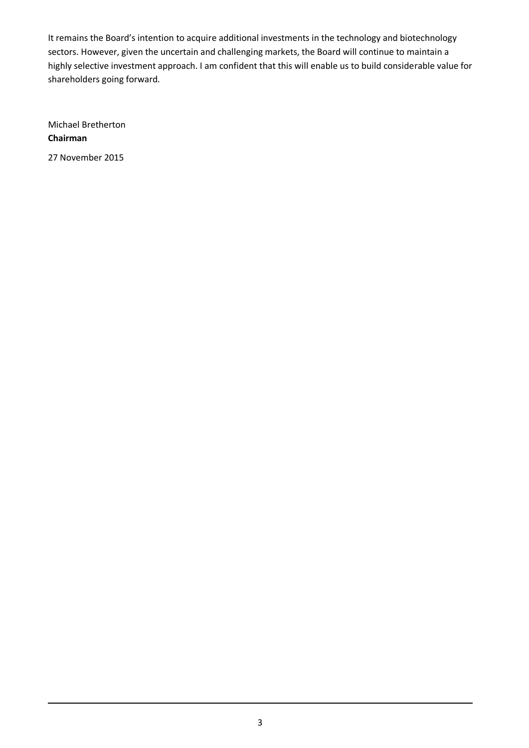It remains the Board's intention to acquire additional investments in the technology and biotechnology sectors. However, given the uncertain and challenging markets, the Board will continue to maintain a highly selective investment approach. I am confident that this will enable us to build considerable value for shareholders going forward.

Michael Bretherton **Chairman**

27 November 2015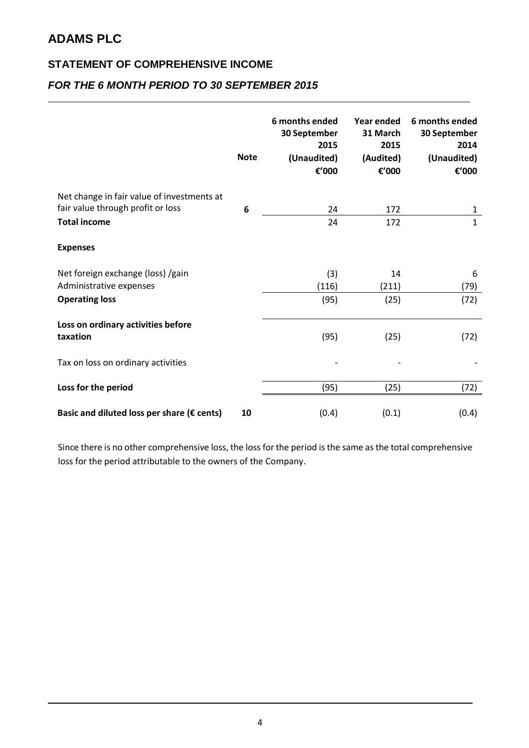#### **STATEMENT OF COMPREHENSIVE INCOME**

#### *FOR THE 6 MONTH PERIOD TO 30 SEPTEMBER 2015*

|                                                      | <b>Note</b> | 6 months ended<br>30 September<br>2015<br>(Unaudited)<br>€'000 | <b>Year ended</b><br>31 March<br>2015<br>(Audited)<br>€'000 | 6 months ended<br>30 September<br>2014<br>(Unaudited)<br>€'000 |
|------------------------------------------------------|-------------|----------------------------------------------------------------|-------------------------------------------------------------|----------------------------------------------------------------|
| Net change in fair value of investments at           |             |                                                                |                                                             |                                                                |
| fair value through profit or loss                    | 6           | 24                                                             | 172                                                         | $\mathbf{1}$                                                   |
| <b>Total income</b>                                  |             | 24                                                             | 172                                                         | $\mathbf{1}$                                                   |
| <b>Expenses</b>                                      |             |                                                                |                                                             |                                                                |
| Net foreign exchange (loss) /gain                    |             | (3)                                                            | 14                                                          | 6                                                              |
| Administrative expenses                              |             | (116)                                                          | (211)                                                       | (79)                                                           |
| <b>Operating loss</b>                                |             | (95)                                                           | (25)                                                        | (72)                                                           |
| Loss on ordinary activities before                   |             |                                                                |                                                             |                                                                |
| taxation                                             |             | (95)                                                           | (25)                                                        | (72)                                                           |
| Tax on loss on ordinary activities                   |             |                                                                |                                                             |                                                                |
| Loss for the period                                  |             | (95)                                                           | (25)                                                        | (72)                                                           |
| Basic and diluted loss per share ( $\epsilon$ cents) | 10          | (0.4)                                                          | (0.1)                                                       | (0.4)                                                          |

Since there is no other comprehensive loss, the loss for the period is the same as the total comprehensive loss for the period attributable to the owners of the Company.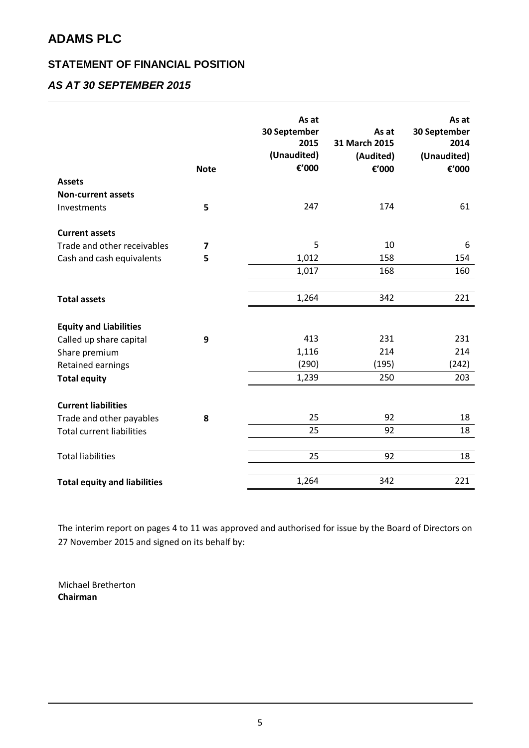#### **STATEMENT OF FINANCIAL POSITION**

#### *AS AT 30 SEPTEMBER 2015*

|                                     | <b>Note</b> | As at<br>30 September<br>2015<br>(Unaudited)<br>€'000 | As at<br>31 March 2015<br>(Audited)<br>€'000 | As at<br>30 September<br>2014<br>(Unaudited)<br>€'000 |
|-------------------------------------|-------------|-------------------------------------------------------|----------------------------------------------|-------------------------------------------------------|
| <b>Assets</b>                       |             |                                                       |                                              |                                                       |
| <b>Non-current assets</b>           |             |                                                       |                                              |                                                       |
| Investments                         | 5           | 247                                                   | 174                                          | 61                                                    |
| <b>Current assets</b>               |             |                                                       |                                              |                                                       |
| Trade and other receivables         | 7           | 5                                                     | 10                                           | 6                                                     |
| Cash and cash equivalents           | 5           | 1,012                                                 | 158                                          | 154                                                   |
|                                     |             | 1,017                                                 | 168                                          | 160                                                   |
|                                     |             |                                                       |                                              |                                                       |
| <b>Total assets</b>                 |             | 1,264                                                 | 342                                          | 221                                                   |
| <b>Equity and Liabilities</b>       |             |                                                       |                                              |                                                       |
| Called up share capital             | 9           | 413                                                   | 231                                          | 231                                                   |
| Share premium                       |             | 1,116                                                 | 214                                          | 214                                                   |
| <b>Retained earnings</b>            |             | (290)                                                 | (195)                                        | (242)                                                 |
| <b>Total equity</b>                 |             | 1,239                                                 | 250                                          | 203                                                   |
| <b>Current liabilities</b>          |             |                                                       |                                              |                                                       |
| Trade and other payables            | 8           | 25                                                    | 92                                           | 18                                                    |
| <b>Total current liabilities</b>    |             | 25                                                    | 92                                           | 18                                                    |
| <b>Total liabilities</b>            |             | 25                                                    | 92                                           | 18                                                    |
| <b>Total equity and liabilities</b> |             | 1,264                                                 | 342                                          | 221                                                   |

The interim report on pages 4 to 11 was approved and authorised for issue by the Board of Directors on 27 November 2015 and signed on its behalf by:

Michael Bretherton **Chairman**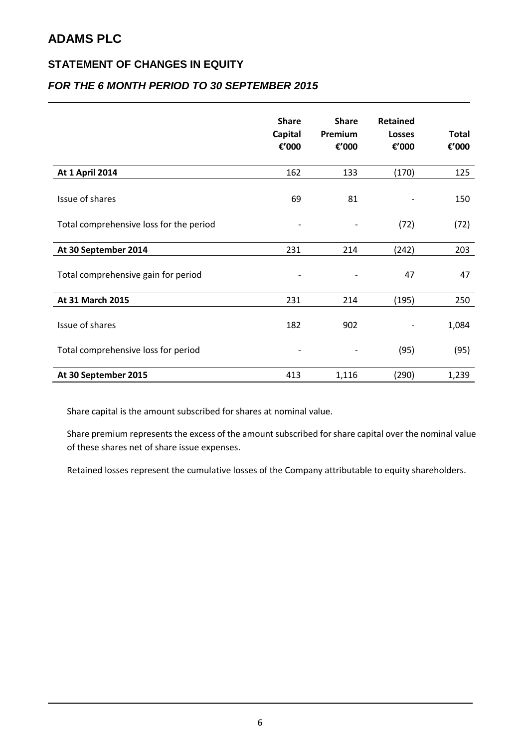#### **STATEMENT OF CHANGES IN EQUITY**

#### *FOR THE 6 MONTH PERIOD TO 30 SEPTEMBER 2015*

|                                         | <b>Share</b><br>Capital<br>€'000 | <b>Share</b><br>Premium<br>€'000 | <b>Retained</b><br>Losses<br>€'000 | <b>Total</b><br>€'000 |
|-----------------------------------------|----------------------------------|----------------------------------|------------------------------------|-----------------------|
| <b>At 1 April 2014</b>                  | 162                              | 133                              | (170)                              | 125                   |
| Issue of shares                         | 69                               | 81                               |                                    | 150                   |
| Total comprehensive loss for the period |                                  |                                  | (72)                               | (72)                  |
| At 30 September 2014                    | 231                              | 214                              | (242)                              | 203                   |
| Total comprehensive gain for period     |                                  |                                  | 47                                 | 47                    |
| At 31 March 2015                        | 231                              | 214                              | (195)                              | 250                   |
| Issue of shares                         | 182                              | 902                              |                                    | 1,084                 |
| Total comprehensive loss for period     |                                  |                                  | (95)                               | (95)                  |
| At 30 September 2015                    | 413                              | 1,116                            | (290)                              | 1,239                 |

Share capital is the amount subscribed for shares at nominal value.

Share premium represents the excess of the amount subscribed for share capital over the nominal value of these shares net of share issue expenses.

Retained losses represent the cumulative losses of the Company attributable to equity shareholders.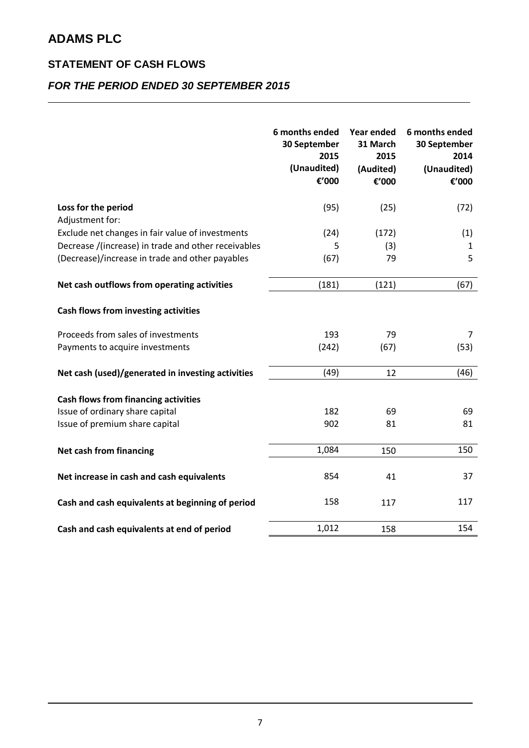#### **STATEMENT OF CASH FLOWS**

#### *FOR THE PERIOD ENDED 30 SEPTEMBER 2015*

|                                                     | 6 months ended<br>30 September<br>2015<br>(Unaudited)<br>€'000 | <b>Year ended</b><br>31 March<br>2015<br>(Audited)<br>€'000 | 6 months ended<br>30 September<br>2014<br>(Unaudited)<br>€'000 |
|-----------------------------------------------------|----------------------------------------------------------------|-------------------------------------------------------------|----------------------------------------------------------------|
| Loss for the period<br>Adjustment for:              | (95)                                                           | (25)                                                        | (72)                                                           |
| Exclude net changes in fair value of investments    | (24)                                                           | (172)                                                       | (1)                                                            |
| Decrease /(increase) in trade and other receivables | 5                                                              | (3)                                                         | $\mathbf{1}$                                                   |
| (Decrease)/increase in trade and other payables     | (67)                                                           | 79                                                          | 5                                                              |
| Net cash outflows from operating activities         | (181)                                                          | (121)                                                       | (67)                                                           |
| Cash flows from investing activities                |                                                                |                                                             |                                                                |
| Proceeds from sales of investments                  | 193                                                            | 79                                                          | $\overline{7}$                                                 |
| Payments to acquire investments                     | (242)                                                          | (67)                                                        | (53)                                                           |
| Net cash (used)/generated in investing activities   | (49)                                                           | 12                                                          | (46)                                                           |
| <b>Cash flows from financing activities</b>         |                                                                |                                                             |                                                                |
| Issue of ordinary share capital                     | 182                                                            | 69                                                          | 69                                                             |
| Issue of premium share capital                      | 902                                                            | 81                                                          | 81                                                             |
| Net cash from financing                             | 1,084                                                          | 150                                                         | 150                                                            |
| Net increase in cash and cash equivalents           | 854                                                            | 41                                                          | 37                                                             |
| Cash and cash equivalents at beginning of period    | 158                                                            | 117                                                         | 117                                                            |
| Cash and cash equivalents at end of period          | 1,012                                                          | 158                                                         | 154                                                            |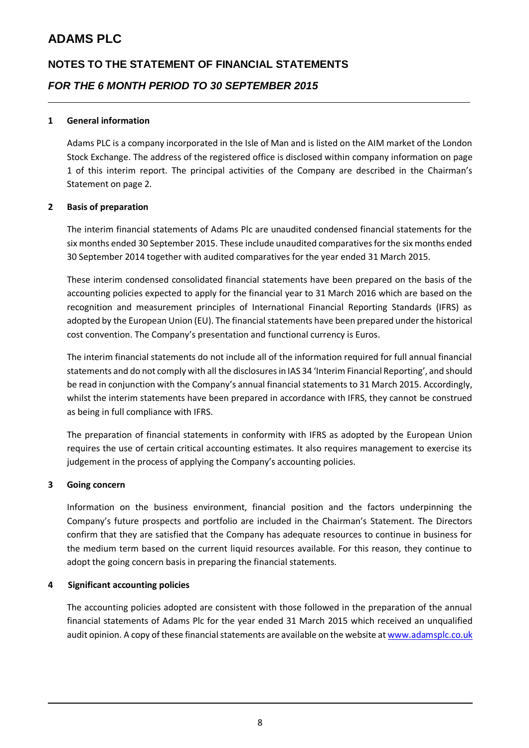## **NOTES TO THE STATEMENT OF FINANCIAL STATEMENTS** *FOR THE 6 MONTH PERIOD TO 30 SEPTEMBER 2015*

#### **1 General information**

Adams PLC is a company incorporated in the Isle of Man and is listed on the AIM market of the London Stock Exchange. The address of the registered office is disclosed within company information on page 1 of this interim report. The principal activities of the Company are described in the Chairman's Statement on page 2.

#### **2 Basis of preparation**

The interim financial statements of Adams Plc are unaudited condensed financial statements for the six months ended 30 September 2015. These include unaudited comparatives for the six months ended 30 September 2014 together with audited comparatives for the year ended 31 March 2015.

These interim condensed consolidated financial statements have been prepared on the basis of the accounting policies expected to apply for the financial year to 31 March 2016 which are based on the recognition and measurement principles of International Financial Reporting Standards (IFRS) as adopted by the European Union (EU). The financial statements have been prepared under the historical cost convention. The Company's presentation and functional currency is Euros.

The interim financial statements do not include all of the information required for full annual financial statements and do not comply with all the disclosures in IAS 34 'Interim Financial Reporting', and should be read in conjunction with the Company's annual financial statements to 31 March 2015. Accordingly, whilst the interim statements have been prepared in accordance with IFRS, they cannot be construed as being in full compliance with IFRS.

The preparation of financial statements in conformity with IFRS as adopted by the European Union requires the use of certain critical accounting estimates. It also requires management to exercise its judgement in the process of applying the Company's accounting policies.

#### **3 Going concern**

Information on the business environment, financial position and the factors underpinning the Company's future prospects and portfolio are included in the Chairman's Statement. The Directors confirm that they are satisfied that the Company has adequate resources to continue in business for the medium term based on the current liquid resources available. For this reason, they continue to adopt the going concern basis in preparing the financial statements.

#### **4 Significant accounting policies**

The accounting policies adopted are consistent with those followed in the preparation of the annual financial statements of Adams Plc for the year ended 31 March 2015 which received an unqualified audit opinion. A copy of these financial statements are available on the website a[t www.adamsplc.co.uk](http://www.adamsplc.co.uk/)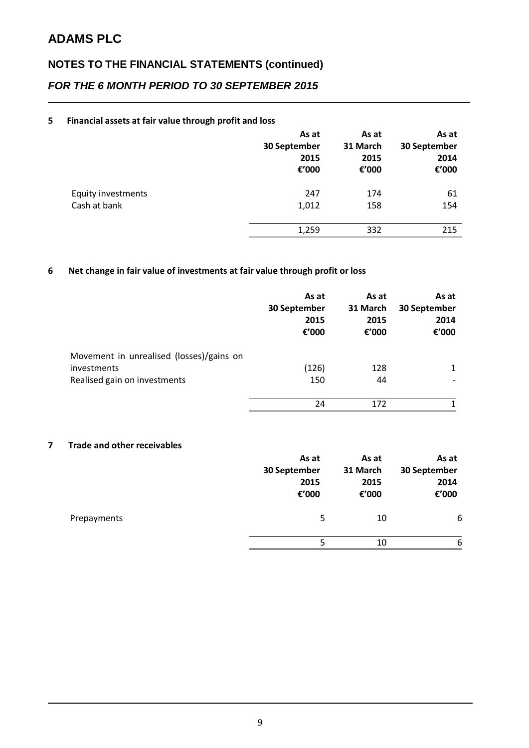## **NOTES TO THE FINANCIAL STATEMENTS (continued)** *FOR THE 6 MONTH PERIOD TO 30 SEPTEMBER 2015*

#### **5 Financial assets at fair value through profit and loss**

|                           | As at<br>30 September<br>2015<br>€'000 | As at<br>31 March<br>2015<br>€'000 | As at<br>30 September<br>2014<br>€'000 |
|---------------------------|----------------------------------------|------------------------------------|----------------------------------------|
| <b>Equity investments</b> | 247                                    | 174                                | 61                                     |
| Cash at bank              | 1,012                                  | 158                                | 154                                    |
|                           | 1,259                                  | 332                                | 215                                    |

#### **6 Net change in fair value of investments at fair value through profit or loss**

|                                          | As at<br>30 September<br>2015<br>€'000 | As at<br>31 March<br>2015<br>€'000 | As at<br>30 September<br>2014<br>€'000 |
|------------------------------------------|----------------------------------------|------------------------------------|----------------------------------------|
| Movement in unrealised (losses)/gains on |                                        |                                    |                                        |
| investments                              | (126)                                  | 128                                | 1                                      |
| Realised gain on investments             | 150                                    | 44                                 |                                        |
|                                          | 24                                     | 172                                |                                        |

#### **7 Trade and other receivables**

|             | As at<br>30 September<br>2015<br>€'000 | As at<br>31 March<br>2015<br>€'000 | As at<br>30 September<br>2014<br>€'000 |
|-------------|----------------------------------------|------------------------------------|----------------------------------------|
| Prepayments | 5                                      | 10                                 | 6                                      |
|             | 5                                      | 10                                 | 6                                      |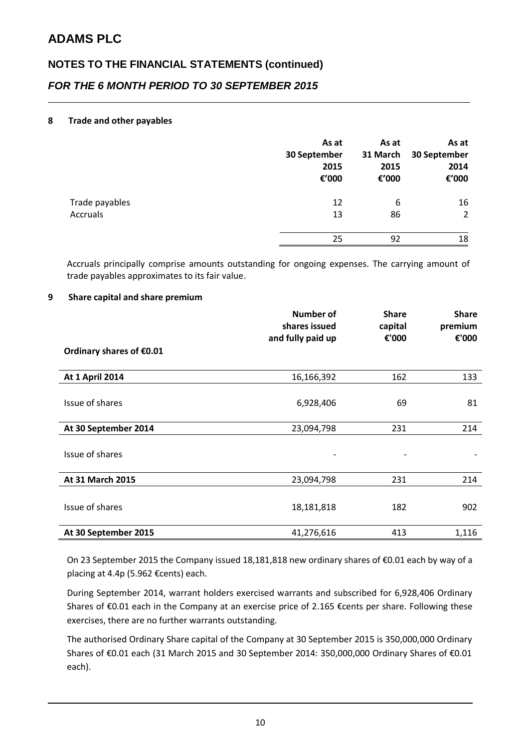## **NOTES TO THE FINANCIAL STATEMENTS (continued)** *FOR THE 6 MONTH PERIOD TO 30 SEPTEMBER 2015*

#### **8 Trade and other payables**

|                | As at<br>30 September<br>2015<br>€'000 | As at<br>31 March<br>2015<br>€'000 | As at<br>30 September<br>2014<br>€'000 |
|----------------|----------------------------------------|------------------------------------|----------------------------------------|
| Trade payables | 12                                     | 6                                  | 16                                     |
| Accruals       | 13                                     | 86                                 | 2                                      |
|                | 25                                     | 92                                 | 18                                     |

Accruals principally comprise amounts outstanding for ongoing expenses. The carrying amount of trade payables approximates to its fair value.

#### **9 Share capital and share premium**

|                          | <b>Number of</b><br>shares issued<br>and fully paid up | <b>Share</b><br>capital<br>€'000 | <b>Share</b><br>premium<br>€'000 |
|--------------------------|--------------------------------------------------------|----------------------------------|----------------------------------|
| Ordinary shares of €0.01 |                                                        |                                  |                                  |
| <b>At 1 April 2014</b>   | 16,166,392                                             | 162                              | 133                              |
| Issue of shares          | 6,928,406                                              | 69                               | 81                               |
| At 30 September 2014     | 23,094,798                                             | 231                              | 214                              |
| Issue of shares          |                                                        |                                  |                                  |
| At 31 March 2015         | 23,094,798                                             | 231                              | 214                              |
| Issue of shares          | 18,181,818                                             | 182                              | 902                              |
| At 30 September 2015     | 41,276,616                                             | 413                              | 1,116                            |

On 23 September 2015 the Company issued 18,181,818 new ordinary shares of €0.01 each by way of a placing at 4.4p (5.962 €cents) each.

During September 2014, warrant holders exercised warrants and subscribed for 6,928,406 Ordinary Shares of €0.01 each in the Company at an exercise price of 2.165 €cents per share. Following these exercises, there are no further warrants outstanding.

The authorised Ordinary Share capital of the Company at 30 September 2015 is 350,000,000 Ordinary Shares of €0.01 each (31 March 2015 and 30 September 2014: 350,000,000 Ordinary Shares of €0.01 each).